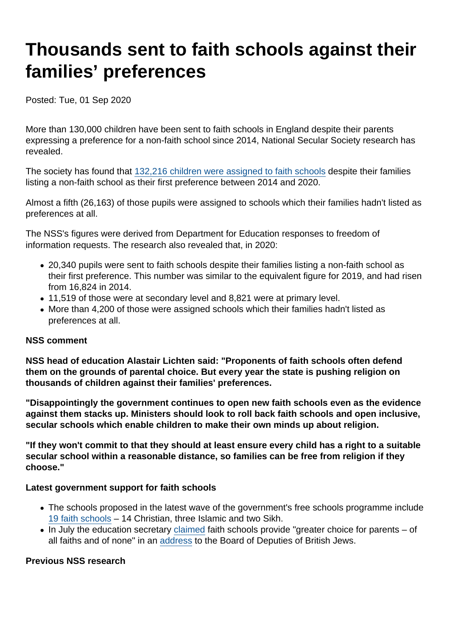# Thousands sent to faith schools against their families' preferences

Posted: Tue, 01 Sep 2020

More than 130,000 children have been sent to faith schools in England despite their parents expressing a preference for a non-faith school since 2014, National Secular Society research has revealed.

The society has found that [132,216 children were assigned to faith schools](https://www.secularism.org.uk/uploads/choice-delusion-admission-data-all-years.pdf?v=1596534745) despite their families listing a non-faith school as their first preference between 2014 and 2020.

Almost a fifth (26,163) of those pupils were assigned to schools which their families hadn't listed as preferences at all.

The NSS's figures were derived from Department for Education responses to freedom of information requests. The research also revealed that, in 2020:

- 20,340 pupils were sent to faith schools despite their families listing a non-faith school as their first preference. This number was similar to the equivalent figure for 2019, and had risen from 16,824 in 2014.
- 11,519 of those were at secondary level and 8,821 were at primary level.
- More than 4,200 of those were assigned schools which their families hadn't listed as preferences at all.

#### NSS comment

NSS head of education Alastair Lichten said: "Proponents of faith schools often defend them on the grounds of parental choice. But every year the state is pushing religion on thousands of children against their families' preferences.

"Disappointingly the government continues to open new faith schools even as the evidence against them stacks up. Ministers should look to roll back faith schools and open inclusive, secular schools which enable children to make their own minds up about religion.

"If they won't commit to that they should at least ensure every child has a right to a suitable secular school within a reasonable distance, so families can be free from religion if they choose."

Latest government support for faith schools

- The schools proposed in the latest wave of the government's free schools programme include [19 faith schools](https://www.nomorefaithschools.org/news/2020/07/nmfs-campaign-challenging-plans-to-open-19-faith-schools-in-england) – 14 Christian, three Islamic and two Sikh.
- In July the education secretary [claimed](https://twitter.com/EndFaithSchools/status/1288844915171110913) faith schools provide "greater choice for parents of all faiths and of none" in an [address](https://www.bod.org.uk/education-secretary-reflects-on-the-importance-of-faith-schools-ethos-in-summer-message-to-jewish-schools/) to the Board of Deputies of British Jews.

Previous NSS research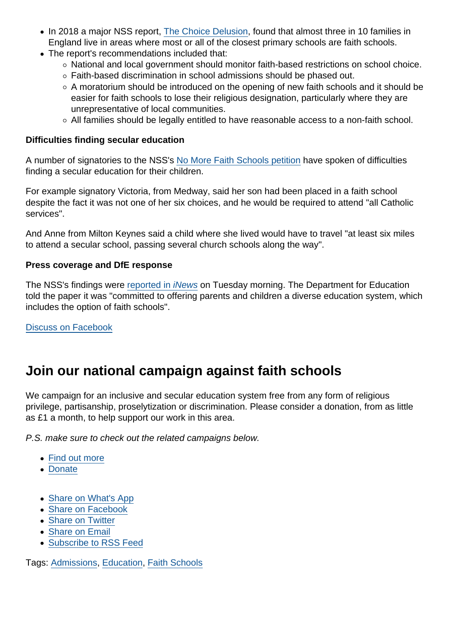- In 2018 a major NSS report, [The Choice Delusion](https://www.secularism.org.uk/faith-schools/choicedelusion.html), found that almost three in 10 families in England live in areas where most or all of the closest primary schools are faith schools.
- The report's recommendations included that:
	- National and local government should monitor faith-based restrictions on school choice.
	- Faith-based discrimination in school admissions should be phased out.
	- $\circ$  A moratorium should be introduced on the opening of new faith schools and it should be easier for faith schools to lose their religious designation, particularly where they are unrepresentative of local communities.
	- All families should be legally entitled to have reasonable access to a non-faith school.

Difficulties finding secular education

A number of signatories to the NSS's [No More Faith Schools petition](https://www.nomorefaithschools.org/#grp-182043) have spoken of difficulties finding a secular education for their children.

For example signatory Victoria, from Medway, said her son had been placed in a faith school despite the fact it was not one of her six choices, and he would be required to attend "all Catholic services".

And Anne from Milton Keynes said a child where she lived would have to travel "at least six miles to attend a secular school, passing several church schools along the way".

Press coverage and DfE response

The NSS's findings were [reported in iNews](https://inews.co.uk/news/education/faith-schools-children-assigned-parents-wanting-non-religious-school-614267) on Tuesday morning. The Department for Education told the paper it was "committed to offering parents and children a diverse education system, which includes the option of faith schools".

[Discuss on Facebook](https://www.facebook.com/NationalSecularSociety/posts/3272772692791059?__xts__[0]=68.ARBLzRj_x-7JA8hEsR68RLsinv4R2_qnWaxLgNlcX57C9zXBGQRebPCfnMBC8_u7qC7AbFH2inrYd_nds_itdv99XaGmanZakpqYInwPwhM2DMAg5IMioQekLBYqiT-eGEHREC7bwEVnMyFZM5_YBpT68vmphQvPUrwCtZbotywtYeqCiDpzt8qw_zaAYTECHxyPnCSTdwl2F_o341gGvj27a8qc2OHMp1yWCwp3sGsdIM_7pddFhXHAOReVYGch-cJurJ4dY03hh5kVdbwpSKJo2F9I1RLsNNIfMkWWzsJZ7ptJS0Vs9nrry30ldnUGpQRcaYCkbXjyck8APg2we5rwlw&__tn__=-R)

## Join our national campaign against faith schools

We campaign for an inclusive and secular education system free from any form of religious privilege, partisanship, proselytization or discrimination. Please consider a donation, from as little as £1 a month, to help support our work in this area.

P.S. make sure to check out the related campaigns below.

- [Find out more](https://www.secularism.org.uk/faith-schools/)
- [Donate](https://www.secularism.org.uk/donate.html)
- [Share on What's App](whatsapp://send?text=http://www.secularism.org.uk/news/2020/09/thousands-sent-to-faith-schools-against-their-families-preferences?format=pdf)
- [Share on Facebook](https://www.facebook.com/sharer/sharer.php?u=http://www.secularism.org.uk/news/2020/09/thousands-sent-to-faith-schools-against-their-families-preferences?format=pdf&t=Thousands+sent+to+faith+schools+against+their+families’+preferences)
- [Share on Twitter](https://twitter.com/intent/tweet?url=http://www.secularism.org.uk/news/2020/09/thousands-sent-to-faith-schools-against-their-families-preferences?format=pdf&text=Thousands+sent+to+faith+schools+against+their+families’+preferences&via=NatSecSoc)
- [Share on Email](https://www.secularism.org.uk/share.html?url=http://www.secularism.org.uk/news/2020/09/thousands-sent-to-faith-schools-against-their-families-preferences?format=pdf&title=Thousands+sent+to+faith+schools+against+their+families’+preferences)
- [Subscribe to RSS Feed](/mnt/web-data/www/cp-nss/feeds/rss/news)

Tags: [Admissions,](https://www.secularism.org.uk/news/tags/Admissions) [Education,](https://www.secularism.org.uk/news/tags/Education) [Faith Schools](https://www.secularism.org.uk/news/tags/Faith+Schools)